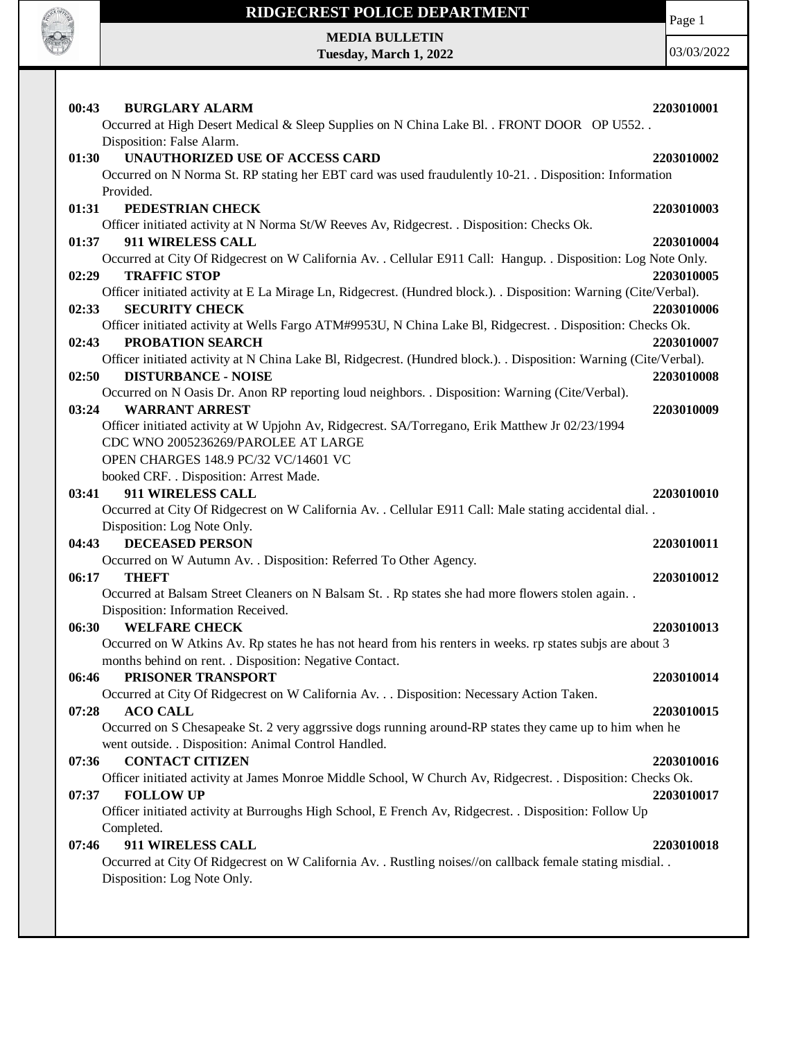

Page 1

**MEDIA BULLETIN Tuesday, March 1, 2022**

| <b>BURGLARY ALARM</b><br>00:43                                                                                                            | 2203010001 |
|-------------------------------------------------------------------------------------------------------------------------------------------|------------|
| Occurred at High Desert Medical & Sleep Supplies on N China Lake Bl. . FRONT DOOR OP U552                                                 |            |
| Disposition: False Alarm.                                                                                                                 |            |
| UNAUTHORIZED USE OF ACCESS CARD<br>01:30                                                                                                  | 2203010002 |
| Occurred on N Norma St. RP stating her EBT card was used fraudulently 10-21. Disposition: Information                                     |            |
| Provided.                                                                                                                                 |            |
| PEDESTRIAN CHECK<br>01:31                                                                                                                 | 2203010003 |
| Officer initiated activity at N Norma St/W Reeves Av, Ridgecrest. . Disposition: Checks Ok.                                               |            |
| 911 WIRELESS CALL<br>01:37                                                                                                                | 2203010004 |
| Occurred at City Of Ridgecrest on W California Av. . Cellular E911 Call: Hangup. . Disposition: Log Note Only.                            |            |
| <b>TRAFFIC STOP</b><br>02:29                                                                                                              | 2203010005 |
| Officer initiated activity at E La Mirage Ln, Ridgecrest. (Hundred block.). Disposition: Warning (Cite/Verbal).                           |            |
| <b>SECURITY CHECK</b><br>02:33                                                                                                            | 2203010006 |
| Officer initiated activity at Wells Fargo ATM#9953U, N China Lake Bl, Ridgecrest. . Disposition: Checks Ok.                               |            |
| PROBATION SEARCH<br>02:43                                                                                                                 | 2203010007 |
| Officer initiated activity at N China Lake Bl, Ridgecrest. (Hundred block.). . Disposition: Warning (Cite/Verbal).                        |            |
| 02:50<br><b>DISTURBANCE - NOISE</b>                                                                                                       | 2203010008 |
| Occurred on N Oasis Dr. Anon RP reporting loud neighbors. . Disposition: Warning (Cite/Verbal).                                           |            |
| <b>WARRANT ARREST</b><br>03:24                                                                                                            | 2203010009 |
| Officer initiated activity at W Upjohn Av, Ridgecrest. SA/Torregano, Erik Matthew Jr 02/23/1994                                           |            |
| CDC WNO 2005236269/PAROLEE AT LARGE                                                                                                       |            |
| OPEN CHARGES 148.9 PC/32 VC/14601 VC                                                                                                      |            |
| booked CRF. . Disposition: Arrest Made.                                                                                                   |            |
| 911 WIRELESS CALL<br>03:41                                                                                                                | 2203010010 |
| Occurred at City Of Ridgecrest on W California Av. . Cellular E911 Call: Male stating accidental dial. .                                  |            |
| Disposition: Log Note Only.                                                                                                               |            |
| <b>DECEASED PERSON</b><br>04:43                                                                                                           | 2203010011 |
| Occurred on W Autumn Av. . Disposition: Referred To Other Agency.                                                                         |            |
| 06:17<br><b>THEFT</b>                                                                                                                     | 2203010012 |
| Occurred at Balsam Street Cleaners on N Balsam St. . Rp states she had more flowers stolen again. .<br>Disposition: Information Received. |            |
| 06:30<br><b>WELFARE CHECK</b>                                                                                                             | 2203010013 |
| Occurred on W Atkins Av. Rp states he has not heard from his renters in weeks. rp states subjs are about 3                                |            |
| months behind on rent. . Disposition: Negative Contact.                                                                                   |            |
| PRISONER TRANSPORT<br>06:46                                                                                                               | 2203010014 |
| Occurred at City Of Ridgecrest on W California Av. Disposition: Necessary Action Taken.                                                   |            |
| <b>ACO CALL</b><br>07:28                                                                                                                  | 2203010015 |
| Occurred on S Chesapeake St. 2 very aggrssive dogs running around-RP states they came up to him when he                                   |            |
| went outside. . Disposition: Animal Control Handled.                                                                                      |            |
| <b>CONTACT CITIZEN</b><br>07:36                                                                                                           | 2203010016 |
| Officer initiated activity at James Monroe Middle School, W Church Av, Ridgecrest. . Disposition: Checks Ok.                              |            |
| <b>FOLLOW UP</b><br>07:37                                                                                                                 | 2203010017 |
| Officer initiated activity at Burroughs High School, E French Av, Ridgecrest. . Disposition: Follow Up                                    |            |
| Completed.                                                                                                                                |            |
| 911 WIRELESS CALL<br>07:46                                                                                                                | 2203010018 |
| Occurred at City Of Ridgecrest on W California Av. . Rustling noises//on callback female stating misdial. .                               |            |
| Disposition: Log Note Only.                                                                                                               |            |
|                                                                                                                                           |            |
|                                                                                                                                           |            |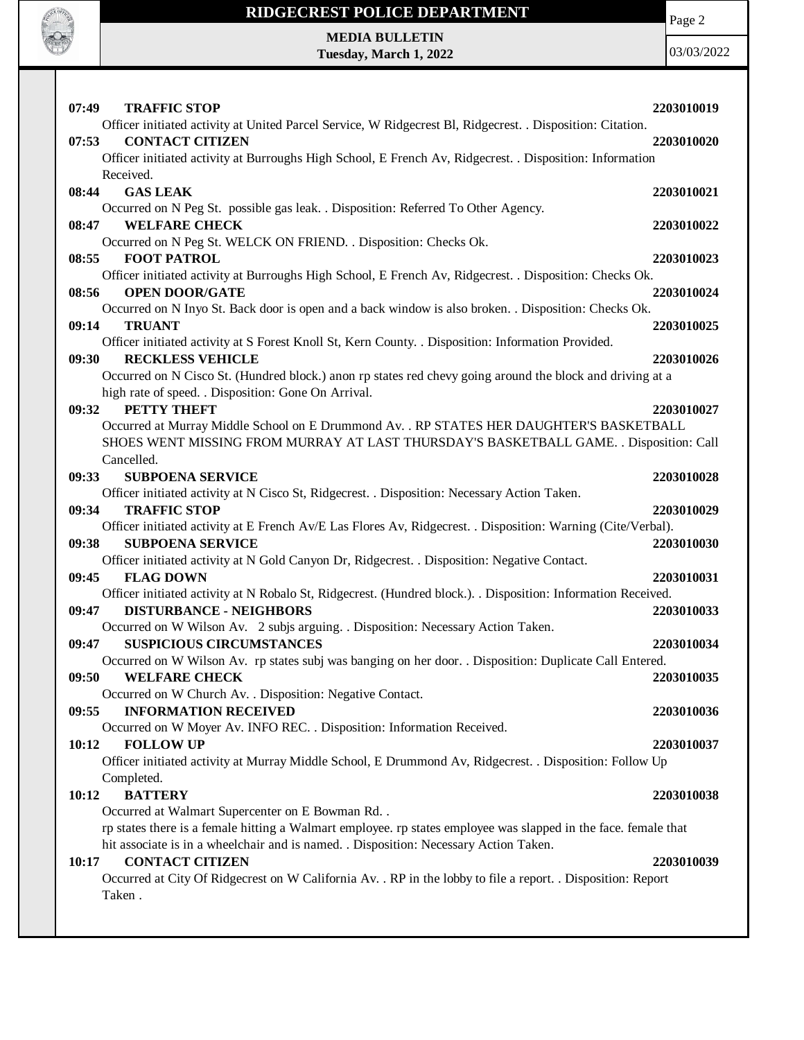

Page 2

**MEDIA BULLETIN Tuesday, March 1, 2022**

| 07:49<br><b>TRAFFIC STOP</b>                                                                                                 | 2203010019 |
|------------------------------------------------------------------------------------------------------------------------------|------------|
| Officer initiated activity at United Parcel Service, W Ridgecrest Bl, Ridgecrest. . Disposition: Citation.                   |            |
| <b>CONTACT CITIZEN</b><br>07:53                                                                                              | 2203010020 |
| Officer initiated activity at Burroughs High School, E French Av, Ridgecrest. . Disposition: Information                     |            |
| Received.                                                                                                                    |            |
| <b>GAS LEAK</b><br>08:44                                                                                                     | 2203010021 |
| Occurred on N Peg St. possible gas leak. . Disposition: Referred To Other Agency.                                            |            |
| 08:47<br><b>WELFARE CHECK</b>                                                                                                | 2203010022 |
| Occurred on N Peg St. WELCK ON FRIEND. . Disposition: Checks Ok.                                                             |            |
| 08:55<br><b>FOOT PATROL</b>                                                                                                  | 2203010023 |
| Officer initiated activity at Burroughs High School, E French Av, Ridgecrest. . Disposition: Checks Ok.                      |            |
| 08:56<br><b>OPEN DOOR/GATE</b>                                                                                               | 2203010024 |
| Occurred on N Inyo St. Back door is open and a back window is also broken. . Disposition: Checks Ok.                         |            |
| 09:14<br><b>TRUANT</b><br>Officer initiated activity at S Forest Knoll St, Kern County. . Disposition: Information Provided. | 2203010025 |
| <b>RECKLESS VEHICLE</b><br>09:30                                                                                             | 2203010026 |
| Occurred on N Cisco St. (Hundred block.) anon rp states red chevy going around the block and driving at a                    |            |
| high rate of speed. . Disposition: Gone On Arrival.                                                                          |            |
| PETTY THEFT<br>09:32                                                                                                         | 2203010027 |
| Occurred at Murray Middle School on E Drummond Av. . RP STATES HER DAUGHTER'S BASKETBALL                                     |            |
| SHOES WENT MISSING FROM MURRAY AT LAST THURSDAY'S BASKETBALL GAME. . Disposition: Call                                       |            |
| Cancelled.                                                                                                                   |            |
| 09:33<br><b>SUBPOENA SERVICE</b>                                                                                             | 2203010028 |
| Officer initiated activity at N Cisco St, Ridgecrest. . Disposition: Necessary Action Taken.                                 |            |
| <b>TRAFFIC STOP</b><br>09:34                                                                                                 | 2203010029 |
| Officer initiated activity at E French Av/E Las Flores Av, Ridgecrest. . Disposition: Warning (Cite/Verbal).                 |            |
| <b>SUBPOENA SERVICE</b><br>09:38                                                                                             | 2203010030 |
|                                                                                                                              |            |
| Officer initiated activity at N Gold Canyon Dr, Ridgecrest. . Disposition: Negative Contact.                                 |            |
| 09:45<br><b>FLAG DOWN</b>                                                                                                    | 2203010031 |
| Officer initiated activity at N Robalo St, Ridgecrest. (Hundred block.). . Disposition: Information Received.                |            |
| 09:47<br><b>DISTURBANCE - NEIGHBORS</b>                                                                                      | 2203010033 |
| Occurred on W Wilson Av. 2 subjs arguing. . Disposition: Necessary Action Taken.                                             |            |
| <b>SUSPICIOUS CIRCUMSTANCES</b><br>09:47                                                                                     | 2203010034 |
| Occurred on W Wilson Av. rp states subj was banging on her door. . Disposition: Duplicate Call Entered.                      |            |
| <b>WELFARE CHECK</b><br>09:50                                                                                                | 2203010035 |
| Occurred on W Church Av. . Disposition: Negative Contact.                                                                    |            |
| <b>INFORMATION RECEIVED</b><br>09:55                                                                                         | 2203010036 |
| Occurred on W Moyer Av. INFO REC. . Disposition: Information Received.                                                       |            |
| 10:12<br><b>FOLLOW UP</b>                                                                                                    | 2203010037 |
| Officer initiated activity at Murray Middle School, E Drummond Av, Ridgecrest. . Disposition: Follow Up                      |            |
| Completed.                                                                                                                   |            |
| <b>BATTERY</b><br>10:12                                                                                                      | 2203010038 |
| Occurred at Walmart Supercenter on E Bowman Rd. .                                                                            |            |
| rp states there is a female hitting a Walmart employee. rp states employee was slapped in the face. female that              |            |
| hit associate is in a wheelchair and is named. . Disposition: Necessary Action Taken.<br><b>CONTACT CITIZEN</b><br>10:17     | 2203010039 |
| Occurred at City Of Ridgecrest on W California Av. . RP in the lobby to file a report. . Disposition: Report                 |            |
| Taken.                                                                                                                       |            |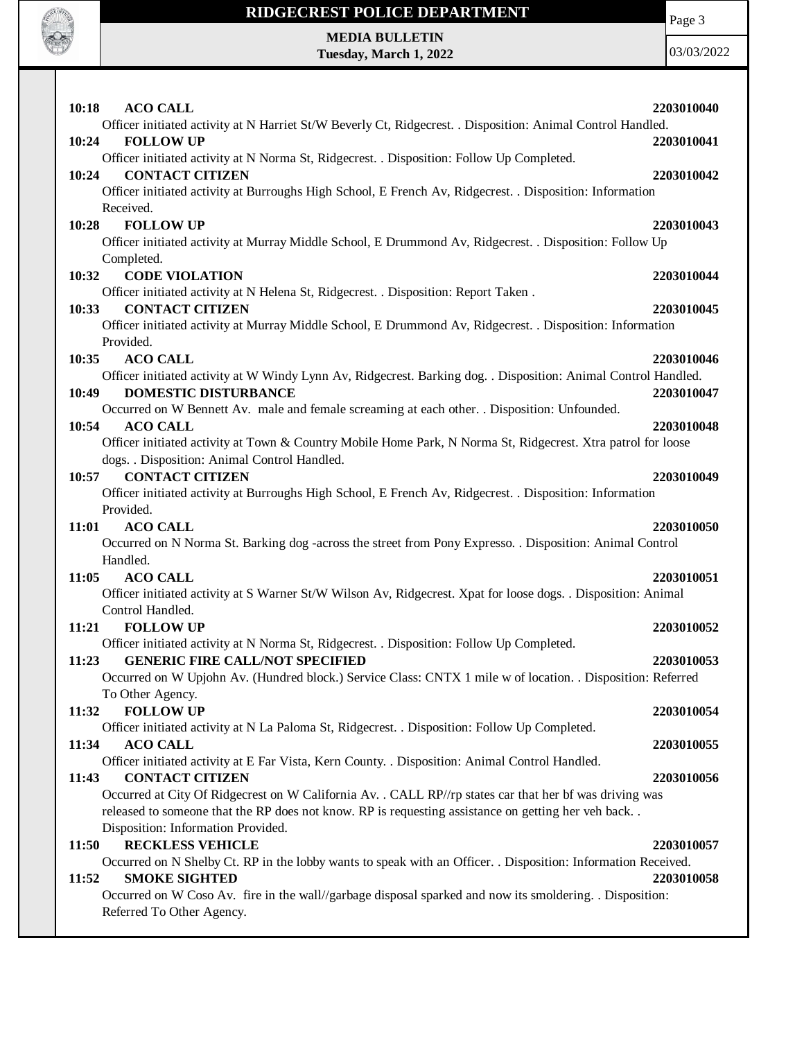

Page 3

**MEDIA BULLETIN Tuesday, March 1, 2022**

| 10:18 | <b>ACO CALL</b>                                                                                                | 2203010040 |
|-------|----------------------------------------------------------------------------------------------------------------|------------|
|       | Officer initiated activity at N Harriet St/W Beverly Ct, Ridgecrest. . Disposition: Animal Control Handled.    |            |
| 10:24 | <b>FOLLOW UP</b>                                                                                               | 2203010041 |
|       | Officer initiated activity at N Norma St, Ridgecrest. . Disposition: Follow Up Completed.                      |            |
| 10:24 | <b>CONTACT CITIZEN</b>                                                                                         | 2203010042 |
|       | Officer initiated activity at Burroughs High School, E French Av, Ridgecrest. . Disposition: Information       |            |
|       | Received.                                                                                                      |            |
| 10:28 | <b>FOLLOW UP</b>                                                                                               | 2203010043 |
|       | Officer initiated activity at Murray Middle School, E Drummond Av, Ridgecrest. . Disposition: Follow Up        |            |
|       | Completed.<br><b>CODE VIOLATION</b>                                                                            |            |
| 10:32 | Officer initiated activity at N Helena St, Ridgecrest. . Disposition: Report Taken.                            | 2203010044 |
| 10:33 | <b>CONTACT CITIZEN</b>                                                                                         | 2203010045 |
|       | Officer initiated activity at Murray Middle School, E Drummond Av, Ridgecrest. . Disposition: Information      |            |
|       | Provided.                                                                                                      |            |
| 10:35 | <b>ACO CALL</b>                                                                                                | 2203010046 |
|       | Officer initiated activity at W Windy Lynn Av, Ridgecrest. Barking dog. . Disposition: Animal Control Handled. |            |
| 10:49 | <b>DOMESTIC DISTURBANCE</b>                                                                                    | 2203010047 |
|       | Occurred on W Bennett Av. male and female screaming at each other. . Disposition: Unfounded.                   |            |
| 10:54 | <b>ACO CALL</b>                                                                                                | 2203010048 |
|       | Officer initiated activity at Town & Country Mobile Home Park, N Norma St, Ridgecrest. Xtra patrol for loose   |            |
|       | dogs. . Disposition: Animal Control Handled.                                                                   |            |
| 10:57 | <b>CONTACT CITIZEN</b>                                                                                         | 2203010049 |
|       | Officer initiated activity at Burroughs High School, E French Av, Ridgecrest. . Disposition: Information       |            |
|       | Provided.                                                                                                      |            |
| 11:01 | <b>ACO CALL</b>                                                                                                | 2203010050 |
|       | Occurred on N Norma St. Barking dog -across the street from Pony Expresso. . Disposition: Animal Control       |            |
| 11:05 | Handled.<br><b>ACO CALL</b>                                                                                    | 2203010051 |
|       | Officer initiated activity at S Warner St/W Wilson Av, Ridgecrest. Xpat for loose dogs. . Disposition: Animal  |            |
|       | Control Handled.                                                                                               |            |
| 11:21 | <b>FOLLOW UP</b>                                                                                               | 2203010052 |
|       | Officer initiated activity at N Norma St, Ridgecrest. . Disposition: Follow Up Completed.                      |            |
| 11:23 | <b>GENERIC FIRE CALL/NOT SPECIFIED</b>                                                                         | 2203010053 |
|       | Occurred on W Upjohn Av. (Hundred block.) Service Class: CNTX 1 mile w of location. . Disposition: Referred    |            |
|       | To Other Agency.                                                                                               |            |
| 11:32 | <b>FOLLOW UP</b>                                                                                               | 2203010054 |
|       | Officer initiated activity at N La Paloma St, Ridgecrest. . Disposition: Follow Up Completed.                  |            |
| 11:34 | <b>ACO CALL</b>                                                                                                | 2203010055 |
|       | Officer initiated activity at E Far Vista, Kern County. . Disposition: Animal Control Handled.                 |            |
| 11:43 | <b>CONTACT CITIZEN</b>                                                                                         | 2203010056 |
|       | Occurred at City Of Ridgecrest on W California Av. . CALL RP//rp states car that her bf was driving was        |            |
|       | released to someone that the RP does not know. RP is requesting assistance on getting her veh back             |            |
| 11:50 | Disposition: Information Provided.<br><b>RECKLESS VEHICLE</b>                                                  | 2203010057 |
|       | Occurred on N Shelby Ct. RP in the lobby wants to speak with an Officer. . Disposition: Information Received.  |            |
| 11:52 | <b>SMOKE SIGHTED</b>                                                                                           | 2203010058 |
|       | Occurred on W Coso Av. fire in the wall//garbage disposal sparked and now its smoldering. . Disposition:       |            |
|       | Referred To Other Agency.                                                                                      |            |
|       |                                                                                                                |            |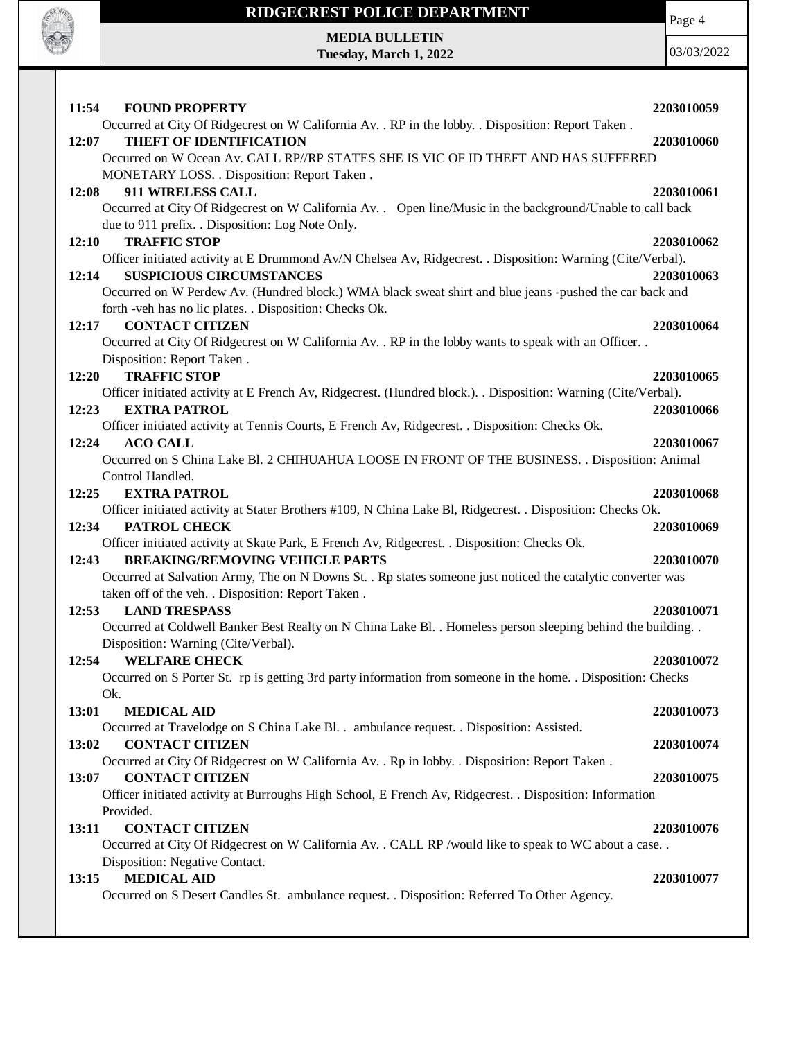

Page 4

**MEDIA BULLETIN Tuesday, March 1, 2022**

| 11:54<br><b>FOUND PROPERTY</b>                                                                                                    | 2203010059 |
|-----------------------------------------------------------------------------------------------------------------------------------|------------|
| Occurred at City Of Ridgecrest on W California Av. . RP in the lobby. . Disposition: Report Taken.                                |            |
| THEFT OF IDENTIFICATION<br>12:07                                                                                                  | 2203010060 |
| Occurred on W Ocean Av. CALL RP//RP STATES SHE IS VIC OF ID THEFT AND HAS SUFFERED                                                |            |
| MONETARY LOSS. . Disposition: Report Taken.                                                                                       |            |
| 911 WIRELESS CALL<br>12:08                                                                                                        | 2203010061 |
| Occurred at City Of Ridgecrest on W California Av. . Open line/Music in the background/Unable to call back                        |            |
| due to 911 prefix. . Disposition: Log Note Only.                                                                                  |            |
| <b>TRAFFIC STOP</b><br>12:10                                                                                                      | 2203010062 |
| Officer initiated activity at E Drummond Av/N Chelsea Av, Ridgecrest. . Disposition: Warning (Cite/Verbal).                       |            |
| <b>SUSPICIOUS CIRCUMSTANCES</b><br>12:14                                                                                          | 2203010063 |
| Occurred on W Perdew Av. (Hundred block.) WMA black sweat shirt and blue jeans -pushed the car back and                           |            |
| forth -veh has no lic plates. . Disposition: Checks Ok.                                                                           |            |
| <b>CONTACT CITIZEN</b><br>12:17                                                                                                   | 2203010064 |
| Occurred at City Of Ridgecrest on W California Av. . RP in the lobby wants to speak with an Officer. .                            |            |
| Disposition: Report Taken.                                                                                                        |            |
| <b>TRAFFIC STOP</b><br>12:20                                                                                                      | 2203010065 |
| Officer initiated activity at E French Av, Ridgecrest. (Hundred block.). . Disposition: Warning (Cite/Verbal).                    |            |
| 12:23<br><b>EXTRA PATROL</b>                                                                                                      | 2203010066 |
| Officer initiated activity at Tennis Courts, E French Av, Ridgecrest. . Disposition: Checks Ok.                                   |            |
| <b>ACO CALL</b><br>12:24                                                                                                          | 2203010067 |
| Occurred on S China Lake Bl. 2 CHIHUAHUA LOOSE IN FRONT OF THE BUSINESS. . Disposition: Animal                                    |            |
| Control Handled.                                                                                                                  |            |
| <b>EXTRA PATROL</b><br>12:25                                                                                                      | 2203010068 |
| Officer initiated activity at Stater Brothers #109, N China Lake Bl, Ridgecrest. . Disposition: Checks Ok.                        |            |
| PATROL CHECK<br>12:34                                                                                                             | 2203010069 |
| Officer initiated activity at Skate Park, E French Av, Ridgecrest. . Disposition: Checks Ok.                                      |            |
| <b>BREAKING/REMOVING VEHICLE PARTS</b><br>12:43                                                                                   | 2203010070 |
| Occurred at Salvation Army, The on N Downs St. . Rp states someone just noticed the catalytic converter was                       |            |
| taken off of the veh. . Disposition: Report Taken.                                                                                |            |
| 12:53<br><b>LAND TRESPASS</b>                                                                                                     | 2203010071 |
| Occurred at Coldwell Banker Best Realty on N China Lake Bl. . Homeless person sleeping behind the building. .                     |            |
| Disposition: Warning (Cite/Verbal).                                                                                               |            |
| <b>WELFARE CHECK</b><br>12:54                                                                                                     | 2203010072 |
| Occurred on S Porter St. rp is getting 3rd party information from someone in the home. . Disposition: Checks                      |            |
| Ok.<br>13:01                                                                                                                      |            |
| <b>MEDICAL AID</b>                                                                                                                | 2203010073 |
| Occurred at Travelodge on S China Lake Bl. . ambulance request. . Disposition: Assisted.<br>13:02<br><b>CONTACT CITIZEN</b>       |            |
|                                                                                                                                   | 2203010074 |
| Occurred at City Of Ridgecrest on W California Av. . Rp in lobby. . Disposition: Report Taken.<br>13:07<br><b>CONTACT CITIZEN</b> | 2203010075 |
| Officer initiated activity at Burroughs High School, E French Av, Ridgecrest. . Disposition: Information                          |            |
| Provided.                                                                                                                         |            |
| <b>CONTACT CITIZEN</b>                                                                                                            |            |
| 13:11<br>Occurred at City Of Ridgecrest on W California Av. . CALL RP /would like to speak to WC about a case. .                  | 2203010076 |
| Disposition: Negative Contact.                                                                                                    |            |
| <b>MEDICAL AID</b><br>13:15                                                                                                       | 2203010077 |
| Occurred on S Desert Candles St. ambulance request. . Disposition: Referred To Other Agency.                                      |            |
|                                                                                                                                   |            |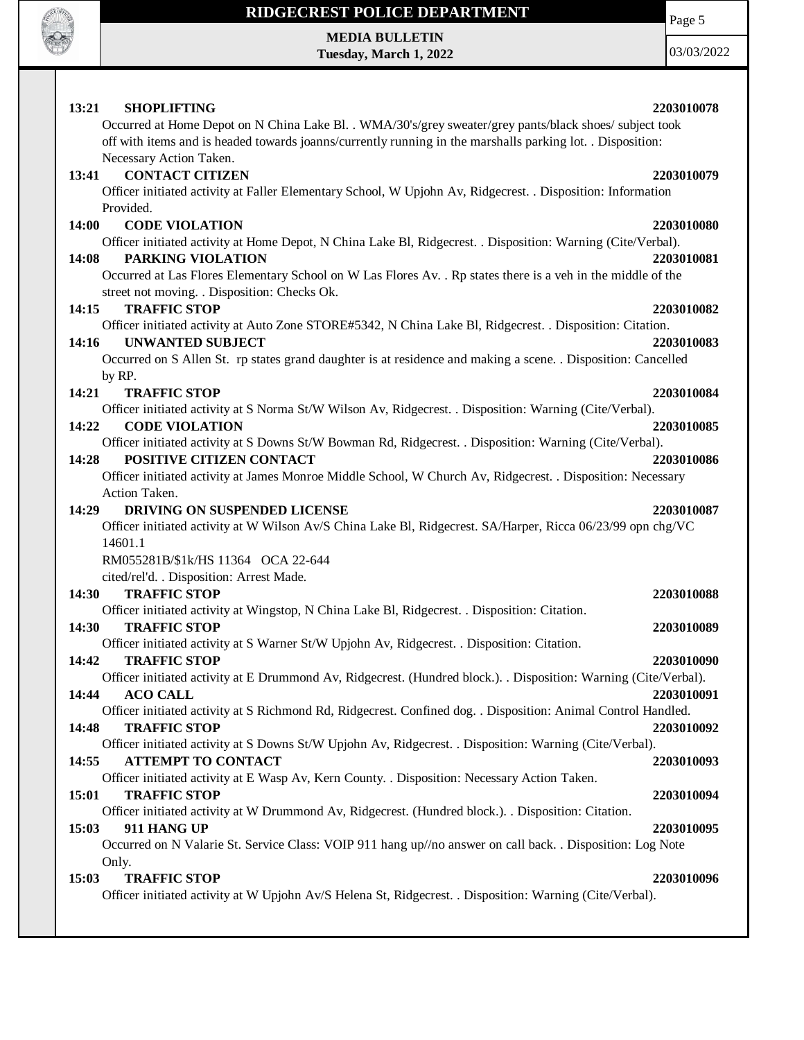

Page 5

**MEDIA BULLETIN Tuesday, March 1, 2022**

|              | 13:21<br><b>SHOPLIFTING</b>                                                                                                                                  | 2203010078 |
|--------------|--------------------------------------------------------------------------------------------------------------------------------------------------------------|------------|
|              | Occurred at Home Depot on N China Lake Bl. . WMA/30's/grey sweater/grey pants/black shoes/ subject took                                                      |            |
|              | off with items and is headed towards joanns/currently running in the marshalls parking lot. . Disposition:                                                   |            |
|              | Necessary Action Taken.                                                                                                                                      |            |
| 13:41        | <b>CONTACT CITIZEN</b>                                                                                                                                       | 2203010079 |
|              | Officer initiated activity at Faller Elementary School, W Upjohn Av, Ridgecrest. . Disposition: Information                                                  |            |
|              | Provided.                                                                                                                                                    |            |
| 14:00        | <b>CODE VIOLATION</b>                                                                                                                                        | 2203010080 |
|              | Officer initiated activity at Home Depot, N China Lake Bl, Ridgecrest. . Disposition: Warning (Cite/Verbal).                                                 |            |
| 14:08        | PARKING VIOLATION                                                                                                                                            | 2203010081 |
|              | Occurred at Las Flores Elementary School on W Las Flores Av. . Rp states there is a veh in the middle of the<br>street not moving. . Disposition: Checks Ok. |            |
| 14:15        | <b>TRAFFIC STOP</b>                                                                                                                                          | 2203010082 |
|              | Officer initiated activity at Auto Zone STORE#5342, N China Lake Bl, Ridgecrest. . Disposition: Citation.                                                    |            |
| 14:16        | <b>UNWANTED SUBJECT</b>                                                                                                                                      | 2203010083 |
|              | Occurred on S Allen St. rp states grand daughter is at residence and making a scene. . Disposition: Cancelled                                                |            |
|              | by RP.                                                                                                                                                       |            |
| 14:21        | <b>TRAFFIC STOP</b>                                                                                                                                          | 2203010084 |
|              | Officer initiated activity at S Norma St/W Wilson Av, Ridgecrest. . Disposition: Warning (Cite/Verbal).                                                      |            |
| 14:22        | <b>CODE VIOLATION</b>                                                                                                                                        | 2203010085 |
|              | Officer initiated activity at S Downs St/W Bowman Rd, Ridgecrest. . Disposition: Warning (Cite/Verbal).                                                      |            |
| 14:28        | POSITIVE CITIZEN CONTACT                                                                                                                                     | 2203010086 |
|              | Officer initiated activity at James Monroe Middle School, W Church Av, Ridgecrest. . Disposition: Necessary                                                  |            |
|              | Action Taken.                                                                                                                                                |            |
| 14:29        | DRIVING ON SUSPENDED LICENSE                                                                                                                                 | 2203010087 |
|              | Officer initiated activity at W Wilson Av/S China Lake Bl, Ridgecrest. SA/Harper, Ricca 06/23/99 opn chg/VC                                                  |            |
|              | 14601.1                                                                                                                                                      |            |
|              |                                                                                                                                                              |            |
|              | RM055281B/\$1k/HS 11364 OCA 22-644                                                                                                                           |            |
|              | cited/rel'd. . Disposition: Arrest Made.                                                                                                                     |            |
| <b>14:30</b> | <b>TRAFFIC STOP</b>                                                                                                                                          | 2203010088 |
|              | Officer initiated activity at Wingstop, N China Lake Bl, Ridgecrest. . Disposition: Citation.                                                                |            |
| 14:30        | <b>TRAFFIC STOP</b>                                                                                                                                          | 2203010089 |
|              | Officer initiated activity at S Warner St/W Upjohn Av, Ridgecrest. . Disposition: Citation.                                                                  |            |
| 14:42        | <b>TRAFFIC STOP</b>                                                                                                                                          | 2203010090 |
|              | Officer initiated activity at E Drummond Av, Ridgecrest. (Hundred block.). Disposition: Warning (Cite/Verbal).                                               |            |
| 14:44        | <b>ACO CALL</b>                                                                                                                                              | 2203010091 |
|              | Officer initiated activity at S Richmond Rd, Ridgecrest. Confined dog. . Disposition: Animal Control Handled.                                                |            |
| 14:48        | <b>TRAFFIC STOP</b>                                                                                                                                          | 2203010092 |
|              | Officer initiated activity at S Downs St/W Upjohn Av, Ridgecrest. . Disposition: Warning (Cite/Verbal).                                                      |            |
| 14:55        | <b>ATTEMPT TO CONTACT</b>                                                                                                                                    | 2203010093 |
|              | Officer initiated activity at E Wasp Av, Kern County. . Disposition: Necessary Action Taken.                                                                 |            |
| 15:01        | <b>TRAFFIC STOP</b>                                                                                                                                          | 2203010094 |
|              | Officer initiated activity at W Drummond Av, Ridgecrest. (Hundred block.). . Disposition: Citation.                                                          |            |
| 15:03        | 911 HANG UP                                                                                                                                                  | 2203010095 |
|              | Occurred on N Valarie St. Service Class: VOIP 911 hang up/no answer on call back. . Disposition: Log Note                                                    |            |
|              | Only.                                                                                                                                                        |            |
| 15:03        | <b>TRAFFIC STOP</b><br>Officer initiated activity at W Upjohn Av/S Helena St, Ridgecrest. . Disposition: Warning (Cite/Verbal).                              | 2203010096 |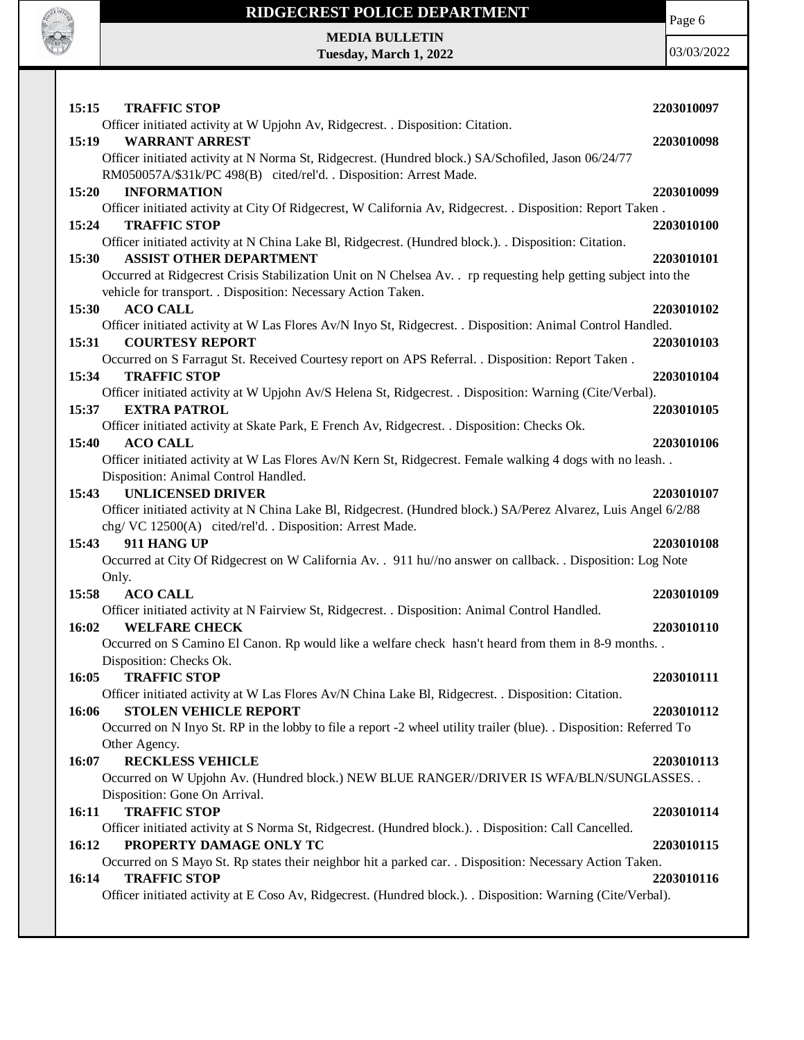

**MEDIA BULLETIN Tuesday, March 1, 2022** Page 6

| 15:15 | <b>TRAFFIC STOP</b>                                                                                                                | 2203010097 |
|-------|------------------------------------------------------------------------------------------------------------------------------------|------------|
|       | Officer initiated activity at W Upjohn Av, Ridgecrest. . Disposition: Citation.                                                    |            |
| 15:19 | <b>WARRANT ARREST</b>                                                                                                              | 2203010098 |
|       | Officer initiated activity at N Norma St, Ridgecrest. (Hundred block.) SA/Schofiled, Jason 06/24/77                                |            |
|       | RM050057A/\$31k/PC 498(B) cited/rel'd. . Disposition: Arrest Made.                                                                 |            |
| 15:20 | <b>INFORMATION</b>                                                                                                                 | 2203010099 |
| 15:24 | Officer initiated activity at City Of Ridgecrest, W California Av, Ridgecrest. . Disposition: Report Taken.<br><b>TRAFFIC STOP</b> | 2203010100 |
|       | Officer initiated activity at N China Lake Bl, Ridgecrest. (Hundred block.). Disposition: Citation.                                |            |
| 15:30 | <b>ASSIST OTHER DEPARTMENT</b>                                                                                                     | 2203010101 |
|       | Occurred at Ridgecrest Crisis Stabilization Unit on N Chelsea Av. rp requesting help getting subject into the                      |            |
|       | vehicle for transport. . Disposition: Necessary Action Taken.                                                                      |            |
| 15:30 | <b>ACO CALL</b>                                                                                                                    | 2203010102 |
|       | Officer initiated activity at W Las Flores Av/N Inyo St, Ridgecrest. . Disposition: Animal Control Handled.                        |            |
| 15:31 | <b>COURTESY REPORT</b>                                                                                                             | 2203010103 |
|       | Occurred on S Farragut St. Received Courtesy report on APS Referral. . Disposition: Report Taken.                                  |            |
| 15:34 | <b>TRAFFIC STOP</b>                                                                                                                | 2203010104 |
|       | Officer initiated activity at W Upjohn Av/S Helena St, Ridgecrest. . Disposition: Warning (Cite/Verbal).                           |            |
| 15:37 | <b>EXTRA PATROL</b>                                                                                                                | 2203010105 |
|       | Officer initiated activity at Skate Park, E French Av, Ridgecrest. . Disposition: Checks Ok.                                       |            |
| 15:40 | <b>ACO CALL</b>                                                                                                                    | 2203010106 |
|       | Officer initiated activity at W Las Flores Av/N Kern St, Ridgecrest. Female walking 4 dogs with no leash                           |            |
|       | Disposition: Animal Control Handled.                                                                                               |            |
| 15:43 | <b>UNLICENSED DRIVER</b>                                                                                                           | 2203010107 |
|       | Officer initiated activity at N China Lake Bl, Ridgecrest. (Hundred block.) SA/Perez Alvarez, Luis Angel 6/2/88                    |            |
|       | chg/VC 12500(A) cited/rel'd. . Disposition: Arrest Made.                                                                           |            |
| 15:43 | 911 HANG UP                                                                                                                        | 2203010108 |
|       | Occurred at City Of Ridgecrest on W California Av. . 911 hu//no answer on callback. . Disposition: Log Note                        |            |
|       | Only.                                                                                                                              |            |
| 15:58 | <b>ACO CALL</b>                                                                                                                    | 2203010109 |
| 16:02 | Officer initiated activity at N Fairview St, Ridgecrest. . Disposition: Animal Control Handled.<br><b>WELFARE CHECK</b>            | 2203010110 |
|       | Occurred on S Camino El Canon. Rp would like a welfare check hasn't heard from them in 8-9 months                                  |            |
|       | Disposition: Checks Ok.                                                                                                            |            |
| 16:05 | <b>TRAFFIC STOP</b>                                                                                                                | 2203010111 |
|       | Officer initiated activity at W Las Flores Av/N China Lake Bl, Ridgecrest. . Disposition: Citation.                                |            |
| 16:06 | <b>STOLEN VEHICLE REPORT</b>                                                                                                       | 2203010112 |
|       | Occurred on N Inyo St. RP in the lobby to file a report -2 wheel utility trailer (blue). . Disposition: Referred To                |            |
|       | Other Agency.                                                                                                                      |            |
| 16:07 | <b>RECKLESS VEHICLE</b>                                                                                                            | 2203010113 |
|       | Occurred on W Upjohn Av. (Hundred block.) NEW BLUE RANGER//DRIVER IS WFA/BLN/SUNGLASSES. .                                         |            |
|       | Disposition: Gone On Arrival.                                                                                                      |            |
| 16:11 | <b>TRAFFIC STOP</b>                                                                                                                | 2203010114 |
|       | Officer initiated activity at S Norma St, Ridgecrest. (Hundred block.). . Disposition: Call Cancelled.                             |            |
| 16:12 | PROPERTY DAMAGE ONLY TC                                                                                                            | 2203010115 |
|       | Occurred on S Mayo St. Rp states their neighbor hit a parked car. . Disposition: Necessary Action Taken.                           |            |
| 16:14 | <b>TRAFFIC STOP</b>                                                                                                                | 2203010116 |
|       | Officer initiated activity at E Coso Av, Ridgecrest. (Hundred block.). Disposition: Warning (Cite/Verbal).                         |            |
|       |                                                                                                                                    |            |
|       |                                                                                                                                    |            |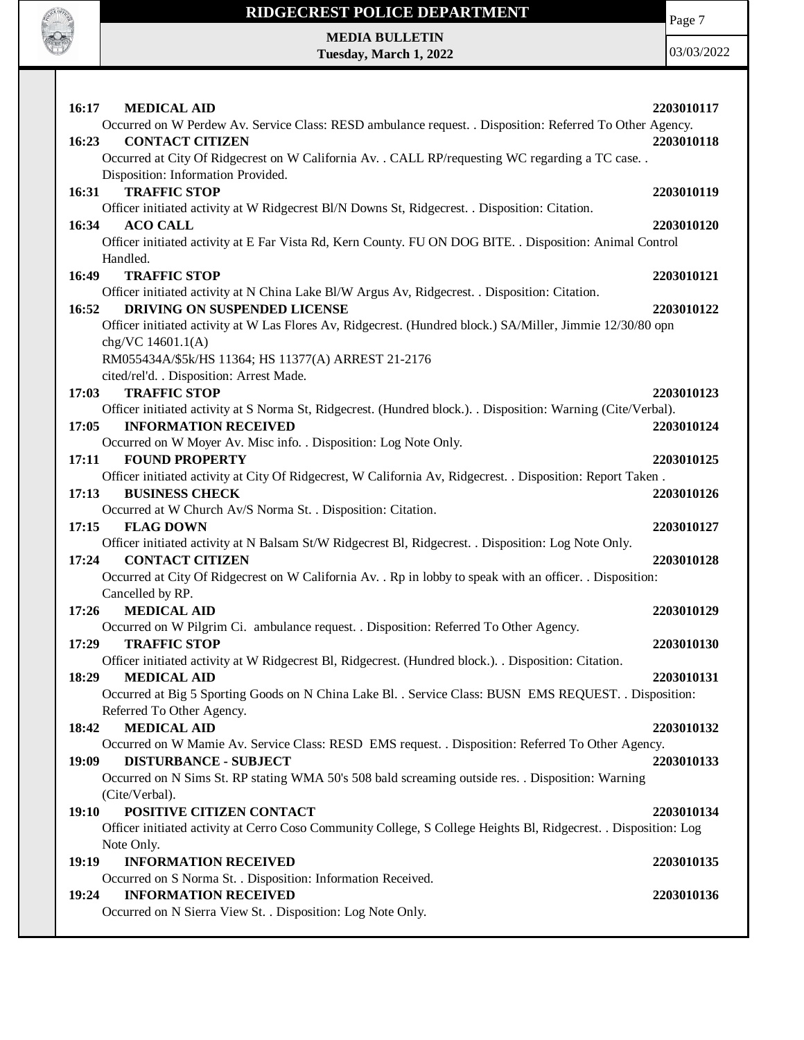

Page 7

**MEDIA BULLETIN Tuesday, March 1, 2022**

| 16:17<br><b>MEDICAL AID</b><br>2203010117                                                                            |
|----------------------------------------------------------------------------------------------------------------------|
| Occurred on W Perdew Av. Service Class: RESD ambulance request. . Disposition: Referred To Other Agency.             |
| 2203010118<br>16:23<br><b>CONTACT CITIZEN</b>                                                                        |
| Occurred at City Of Ridgecrest on W California Av. . CALL RP/requesting WC regarding a TC case. .                    |
| Disposition: Information Provided.                                                                                   |
| <b>TRAFFIC STOP</b><br>16:31<br>2203010119                                                                           |
| Officer initiated activity at W Ridgecrest Bl/N Downs St, Ridgecrest. . Disposition: Citation.                       |
| 16:34<br><b>ACO CALL</b><br>2203010120                                                                               |
| Officer initiated activity at E Far Vista Rd, Kern County. FU ON DOG BITE. . Disposition: Animal Control             |
| Handled.                                                                                                             |
| 16:49<br><b>TRAFFIC STOP</b><br>2203010121                                                                           |
| Officer initiated activity at N China Lake Bl/W Argus Av, Ridgecrest. . Disposition: Citation.                       |
| DRIVING ON SUSPENDED LICENSE<br>16:52<br>2203010122                                                                  |
| Officer initiated activity at W Las Flores Av, Ridgecrest. (Hundred block.) SA/Miller, Jimmie 12/30/80 opn           |
| chg/VC 14601.1(A)                                                                                                    |
| RM055434A/\$5k/HS 11364; HS 11377(A) ARREST 21-2176                                                                  |
| cited/rel'd. . Disposition: Arrest Made.                                                                             |
| <b>TRAFFIC STOP</b><br>17:03<br>2203010123                                                                           |
| Officer initiated activity at S Norma St, Ridgecrest. (Hundred block.). Disposition: Warning (Cite/Verbal).<br>17:05 |
| <b>INFORMATION RECEIVED</b><br>2203010124<br>Occurred on W Moyer Av. Misc info. . Disposition: Log Note Only.        |
| 17:11<br><b>FOUND PROPERTY</b><br>2203010125                                                                         |
| Officer initiated activity at City Of Ridgecrest, W California Av, Ridgecrest. . Disposition: Report Taken.          |
| 17:13<br><b>BUSINESS CHECK</b><br>2203010126                                                                         |
| Occurred at W Church Av/S Norma St. . Disposition: Citation.                                                         |
| <b>FLAG DOWN</b><br>17:15<br>2203010127                                                                              |
| Officer initiated activity at N Balsam St/W Ridgecrest Bl, Ridgecrest. . Disposition: Log Note Only.                 |
| 17:24<br><b>CONTACT CITIZEN</b><br>2203010128                                                                        |
| Occurred at City Of Ridgecrest on W California Av. . Rp in lobby to speak with an officer. . Disposition:            |
| Cancelled by RP.                                                                                                     |
| 17:26<br><b>MEDICAL AID</b><br>2203010129                                                                            |
| Occurred on W Pilgrim Ci. ambulance request. . Disposition: Referred To Other Agency.                                |
| <b>TRAFFIC STOP</b><br>17:29<br>2203010130                                                                           |
| Officer initiated activity at W Ridgecrest Bl, Ridgecrest. (Hundred block.). Disposition: Citation.                  |
| 18:29<br><b>MEDICAL AID</b><br>2203010131                                                                            |
| Occurred at Big 5 Sporting Goods on N China Lake Bl. . Service Class: BUSN EMS REQUEST. . Disposition:               |
| Referred To Other Agency.                                                                                            |
| <b>MEDICAL AID</b><br>2203010132<br>18:42                                                                            |
| Occurred on W Mamie Av. Service Class: RESD EMS request. . Disposition: Referred To Other Agency.                    |
| 19:09<br><b>DISTURBANCE - SUBJECT</b><br>2203010133                                                                  |
| Occurred on N Sims St. RP stating WMA 50's 508 bald screaming outside res. . Disposition: Warning                    |
| (Cite/Verbal).                                                                                                       |
| POSITIVE CITIZEN CONTACT<br><b>19:10</b><br>2203010134                                                               |
| Officer initiated activity at Cerro Coso Community College, S College Heights Bl, Ridgecrest. . Disposition: Log     |
| Note Only.                                                                                                           |
| 19:19<br><b>INFORMATION RECEIVED</b><br>2203010135                                                                   |
| Occurred on S Norma St. . Disposition: Information Received.                                                         |
| 19:24<br><b>INFORMATION RECEIVED</b><br>2203010136                                                                   |
| Occurred on N Sierra View St. . Disposition: Log Note Only.                                                          |